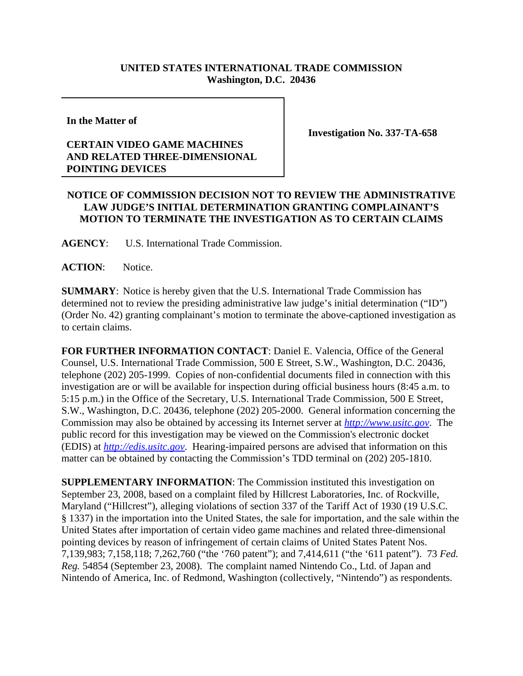## **UNITED STATES INTERNATIONAL TRADE COMMISSION Washington, D.C. 20436**

**In the Matter of** 

## **CERTAIN VIDEO GAME MACHINES AND RELATED THREE-DIMENSIONAL POINTING DEVICES**

**Investigation No. 337-TA-658**

## **NOTICE OF COMMISSION DECISION NOT TO REVIEW THE ADMINISTRATIVE LAW JUDGE'S INITIAL DETERMINATION GRANTING COMPLAINANT'S MOTION TO TERMINATE THE INVESTIGATION AS TO CERTAIN CLAIMS**

**AGENCY**: U.S. International Trade Commission.

ACTION: Notice.

**SUMMARY**: Notice is hereby given that the U.S. International Trade Commission has determined not to review the presiding administrative law judge's initial determination ("ID") (Order No. 42) granting complainant's motion to terminate the above-captioned investigation as to certain claims.

**FOR FURTHER INFORMATION CONTACT**: Daniel E. Valencia, Office of the General Counsel, U.S. International Trade Commission, 500 E Street, S.W., Washington, D.C. 20436, telephone (202) 205-1999. Copies of non-confidential documents filed in connection with this investigation are or will be available for inspection during official business hours (8:45 a.m. to 5:15 p.m.) in the Office of the Secretary, U.S. International Trade Commission, 500 E Street, S.W., Washington, D.C. 20436, telephone (202) 205-2000. General information concerning the Commission may also be obtained by accessing its Internet server at *http://www.usitc.gov*. The public record for this investigation may be viewed on the Commission's electronic docket (EDIS) at *http://edis.usitc.gov*. Hearing-impaired persons are advised that information on this matter can be obtained by contacting the Commission's TDD terminal on (202) 205-1810.

**SUPPLEMENTARY INFORMATION**: The Commission instituted this investigation on September 23, 2008, based on a complaint filed by Hillcrest Laboratories, Inc. of Rockville, Maryland ("Hillcrest"), alleging violations of section 337 of the Tariff Act of 1930 (19 U.S.C. § 1337) in the importation into the United States, the sale for importation, and the sale within the United States after importation of certain video game machines and related three-dimensional pointing devices by reason of infringement of certain claims of United States Patent Nos. 7,139,983; 7,158,118; 7,262,760 ("the '760 patent"); and 7,414,611 ("the '611 patent"). 73 *Fed. Reg.* 54854 (September 23, 2008). The complaint named Nintendo Co., Ltd. of Japan and Nintendo of America, Inc. of Redmond, Washington (collectively, "Nintendo") as respondents.